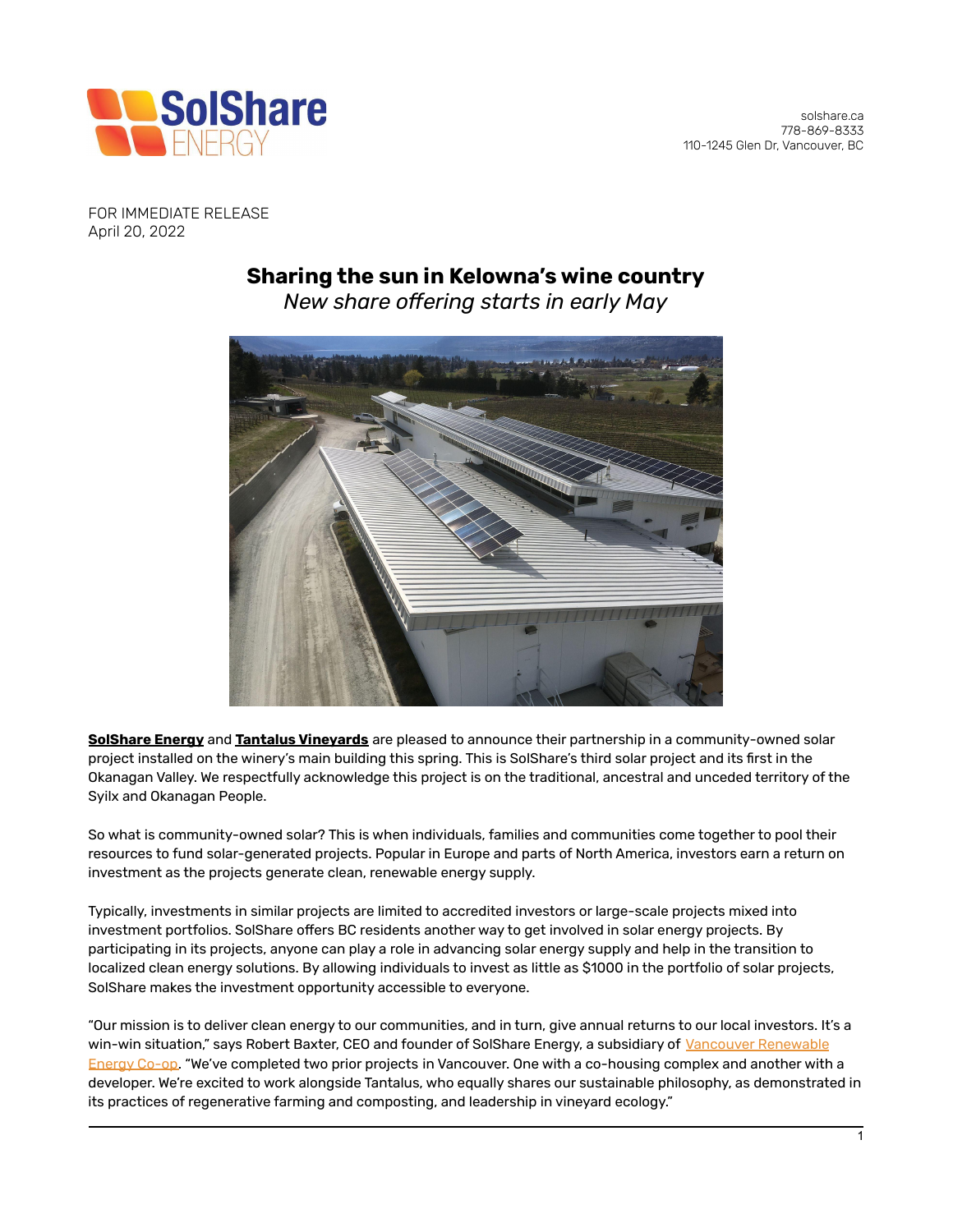

FOR IMMEDIATE RELEASE April 20, 2022

## **Sharing the sun in Kelowna's wine country**

*New share offering starts in early May*



**[SolShare](https://www.solshare.ca/) Energy** and **Tantalus [Vineyards](https://tantalus.ca/)** are pleased to announce their partnership in a community-owned solar project installed on the winery's main building this spring. This is SolShare's third solar project and its first in the Okanagan Valley. We respectfully acknowledge this project is on the traditional, ancestral and unceded territory of the Syilx and Okanagan People.

So what is community-owned solar? This is when individuals, families and communities come together to pool their resources to fund solar-generated projects. Popular in Europe and parts of North America, investors earn a return on investment as the projects generate clean, renewable energy supply.

Typically, investments in similar projects are limited to accredited investors or large-scale projects mixed into investment portfolios. SolShare offers BC residents another way to get involved in solar energy projects. By participating in its projects, anyone can play a role in advancing solar energy supply and help in the transition to localized clean energy solutions. By allowing individuals to invest as little as \$1000 in the portfolio of solar projects, SolShare makes the investment opportunity accessible to everyone.

"Our mission is to deliver clean energy to our communities, and in turn, give annual returns to our local investors. It's a win-win situation," says Robert Baxter, CEO and founder of SolShare Energy, a subsidiary of Vancouver [Renewable](https://www.vrec.ca/) [Energy](https://www.vrec.ca/) Co-op. "We've completed two prior projects in Vancouver. One with a co-housing complex and another with a developer. We're excited to work alongside Tantalus, who equally shares our sustainable philosophy, as demonstrated in its practices of regenerative farming and composting, and leadership in vineyard ecology."